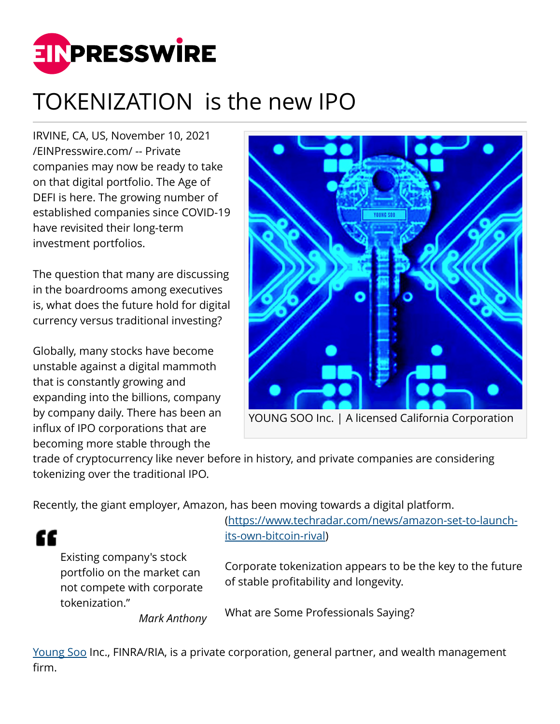

## TOKENIZATION is the new IPO

IRVINE, CA, US, November 10, 2021 [/EINPresswire.com/](http://www.einpresswire.com) -- Private companies may now be ready to take on that digital portfolio. The Age of DEFI is here. The growing number of established companies since COVID-19 have revisited their long-term investment portfolios.

The question that many are discussing in the boardrooms among executives is, what does the future hold for digital currency versus traditional investing?

Globally, many stocks have become unstable against a digital mammoth that is constantly growing and expanding into the billions, company by company daily. There has been an influx of IPO corporations that are becoming more stable through the



trade of cryptocurrency like never before in history, and private companies are considering tokenizing over the traditional IPO.

Recently, the giant employer, Amazon, has been moving towards a digital platform.

Existing company's stock portfolio on the market can not compete with corporate tokenization."

££

*Mark Anthony*

([https://www.techradar.com/news/amazon-set-to-launch](https://www.techradar.com/news/amazon-set-to-launch-its-own-bitcoin-rival)[its-own-bitcoin-rival\)](https://www.techradar.com/news/amazon-set-to-launch-its-own-bitcoin-rival)

Corporate tokenization appears to be the key to the future of stable profitability and longevity.

What are Some Professionals Saying?

[Young Soo](https://youngsooinv.com/services-4/) Inc., FINRA/RIA, is a private corporation, general partner, and wealth management firm.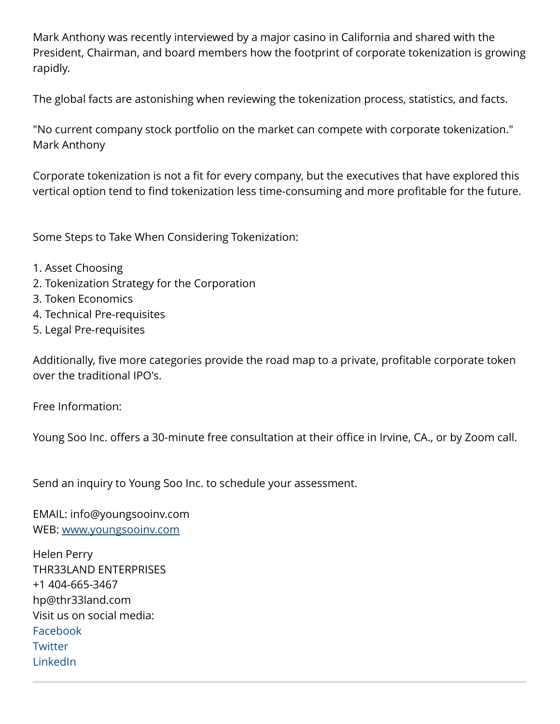Mark Anthony was recently interviewed by a major casino in California and shared with the President, Chairman, and board members how the footprint of corporate tokenization is growing rapidly.

The global facts are astonishing when reviewing the tokenization process, statistics, and facts.

"No current company stock portfolio on the market can compete with corporate tokenization." Mark Anthony

Corporate tokenization is not a fit for every company, but the executives that have explored this vertical option tend to find tokenization less time-consuming and more profitable for the future.

Some Steps to Take When Considering Tokenization:

- 1. Asset Choosing
- 2. Tokenization Strategy for the Corporation
- 3. Token Economics
- 4. Technical Pre-requisites
- 5. Legal Pre-requisites

Additionally, five more categories provide the road map to a private, profitable corporate token over the traditional IPO's.

Free Information:

Young Soo Inc. offers a 30-minute free consultation at their office in Irvine, CA., or by Zoom call.

Send an inquiry to Young Soo Inc. to schedule your assessment.

EMAIL: info@youngsooinv.com WEB: [www.youngsooinv.com](http://www.youngsooinv.com)

Helen Perry THR33LAND ENTERPRISES +1 404-665-3467 hp@thr33land.com Visit us on social media: [Facebook](https://www.facebook.com/thr33land) **[Twitter](https://www.twitter.com/thr33land)** [LinkedIn](https://linkedin.com/in/helen-perry-7aa170209)